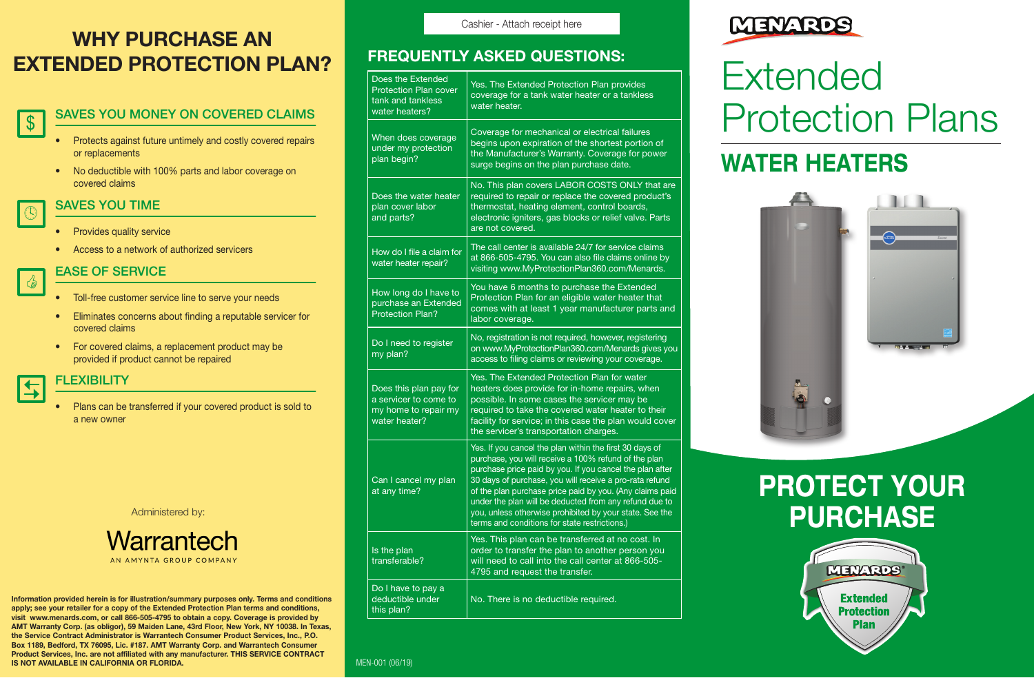# WHY PURCHASE AN EXTENDED PROTECTION PLAN?

### SAVES YOU MONEY ON COVERED CLAIMS \$

- Protects against future untimely and costly covered repairs or replacements
- No deductible with 100% parts and labor coverage on covered claims

## SAVES YOU TIME

 $\mathbb{C}$ 

C

 $\vert \pm$ 

- Provides quality service
- Access to a network of authorized servicers

## EASE OF SERVICE

- Toll-free customer service line to serve your needs
- Eliminates concerns about finding a reputable servicer for covered claims
- For covered claims, a replacement product may be provided if product cannot be repaired

**FI FXIBILITY** 

• Plans can be transferred if your covered product is sold to a new owner

Administered by:

Warrantech AN AMYNTA GROUP COMPANY

Information provided herein is for illustration/summary purposes only. Terms and conditions apply; see your retailer for a copy of the Extended Protection Plan terms and conditions, visit www.menards.com, or call 866-505-4795 to obtain a copy. Coverage is provided by AMT Warranty Corp. (as obligor), 59 Maiden Lane, 43rd Floor, New York, NY 10038. In Texas, the Service Contract Administrator is Warrantech Consumer Product Services, Inc., P.O. Box 1189, Bedford, TX 76095, Lic. #187. AMT Warranty Corp. and Warrantech Consumer Product Services, Inc. are not affiliated with any manufacturer. THIS SERVICE CONTRACT IS NOT AVAILABLE IN CALIFORNIA OR FLORIDA. MEDICINE AND ANNO 1918 IN A MEN-001 (06/19) Cashier - Attach receipt here

| Does the Extended<br><b>Protection Plan cover</b><br>tank and tankless<br>water heaters? | Yes. The Extended Protection Plan provides<br>coverage for a tank water heater or a tankless<br>water heater.                                                                                                                                                                                                                                                                                                                                                            |
|------------------------------------------------------------------------------------------|--------------------------------------------------------------------------------------------------------------------------------------------------------------------------------------------------------------------------------------------------------------------------------------------------------------------------------------------------------------------------------------------------------------------------------------------------------------------------|
| When does coverage<br>under my protection<br>plan begin?                                 | Coverage for mechanical or electrical failures<br>begins upon expiration of the shortest portion of<br>the Manufacturer's Warranty. Coverage for power<br>surge begins on the plan purchase date.                                                                                                                                                                                                                                                                        |
| Does the water heater<br>plan cover labor<br>and parts?                                  | No. This plan covers LABOR COSTS ONLY that are<br>required to repair or replace the covered product's<br>thermostat, heating element, control boards,<br>electronic igniters, gas blocks or relief valve. Parts<br>are not covered.                                                                                                                                                                                                                                      |
| How do I file a claim for<br>water heater repair?                                        | The call center is available 24/7 for service claims<br>at 866-505-4795. You can also file claims online by<br>visiting www.MyProtectionPlan360.com/Menards.                                                                                                                                                                                                                                                                                                             |
| How long do I have to<br>purchase an Extended<br><b>Protection Plan?</b>                 | You have 6 months to purchase the Extended<br>Protection Plan for an eligible water heater that<br>comes with at least 1 year manufacturer parts and<br>labor coverage.                                                                                                                                                                                                                                                                                                  |
| Do I need to register<br>my plan?                                                        | No, registration is not required, however, registering<br>on www.MyProtectionPlan360.com/Menards gives you<br>access to filing claims or reviewing your coverage.                                                                                                                                                                                                                                                                                                        |
| Does this plan pay for<br>a servicer to come to<br>my home to repair my<br>water heater? | Yes. The Extended Protection Plan for water<br>heaters does provide for in-home repairs, when<br>possible. In some cases the servicer may be<br>required to take the covered water heater to their<br>facility for service; in this case the plan would cover<br>the servicer's transportation charges.                                                                                                                                                                  |
| Can I cancel my plan<br>at any time?                                                     | Yes. If you cancel the plan within the first 30 days of<br>purchase, you will receive a 100% refund of the plan<br>purchase price paid by you. If you cancel the plan after<br>30 days of purchase, you will receive a pro-rata refund<br>of the plan purchase price paid by you. (Any claims paid<br>under the plan will be deducted from any refund due to<br>you, unless otherwise prohibited by your state. See the<br>terms and conditions for state restrictions.) |
| Is the plan<br>transferable?                                                             | Yes. This plan can be transferred at no cost. In<br>order to transfer the plan to another person you<br>will need to call into the call center at 866-505-<br>4795 and request the transfer.                                                                                                                                                                                                                                                                             |
| Do I have to pay a<br>deductible under<br>this plan?                                     | No. There is no deductible required.                                                                                                                                                                                                                                                                                                                                                                                                                                     |



# FREQUENTLY ASKED QUESTIONS:<br>  $\begin{tabular}{|l|l|l|l|} \hline \multicolumn{1}{|l|l|} \hline \multicolumn{1}{|l|} \hline \multicolumn{1}{|l|} \hline \multicolumn{1}{|l|} \hline \multicolumn{1}{|l|} \hline \multicolumn{1}{|l|} \hline \multicolumn{1}{|l|} \hline \multicolumn{1}{|l|} \hline \multicolumn{1}{|l|} \hline \multicolumn{1}{|l|} \hline \multicolumn{1}{|l|} \hline \multicolumn{1}{|l|} \hline \mult$ Protection Plans

# WATER HEATERS



# PROTECT YOUR **PURCHASE**